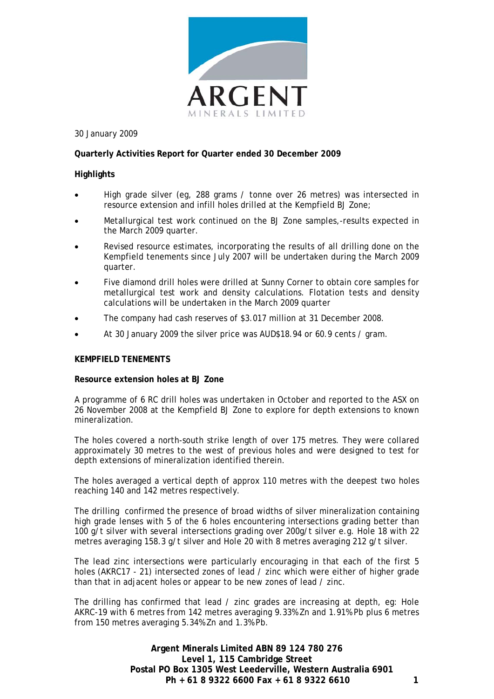

30 January 2009

# **Quarterly Activities Report for Quarter ended 30 December 2009**

## **Highlights**

- High grade silver (eg, 288 grams / tonne over 26 metres) was intersected in resource extension and infill holes drilled at the Kempfield BJ Zone;
- Metallurgical test work continued on the BJ Zone samples,-results expected in the March 2009 quarter.
- Revised resource estimates, incorporating the results of all drilling done on the Kempfield tenements since July 2007 will be undertaken during the March 2009 quarter.
- Five diamond drill holes were drilled at Sunny Corner to obtain core samples for metallurgical test work and density calculations. Flotation tests and density calculations will be undertaken in the March 2009 quarter
- The company had cash reserves of \$3.017 million at 31 December 2008.
- At 30 January 2009 the silver price was AUD\$18.94 or 60.9 cents / gram.

## **KEMPFIELD TENEMENTS**

## **Resource extension holes at BJ Zone**

A programme of 6 RC drill holes was undertaken in October and reported to the ASX on 26 November 2008 at the Kempfield BJ Zone to explore for depth extensions to known mineralization.

The holes covered a north-south strike length of over 175 metres. They were collared approximately 30 metres to the west of previous holes and were designed to test for depth extensions of mineralization identified therein.

The holes averaged a vertical depth of approx 110 metres with the deepest two holes reaching 140 and 142 metres respectively.

The drilling confirmed the presence of broad widths of silver mineralization containing high grade lenses with 5 of the 6 holes encountering intersections grading better than 100 g/t silver with several intersections grading over 200g/t silver e.g. Hole 18 with 22 metres averaging 158.3 g/t silver and Hole 20 with 8 metres averaging 212 g/t silver.

The lead zinc intersections were particularly encouraging in that each of the first 5 holes (AKRC17 - 21) intersected zones of lead / zinc which were either of higher grade than that in adjacent holes or appear to be new zones of lead / zinc.

The drilling has confirmed that lead / zinc grades are increasing at depth, eg: Hole AKRC-19 with 6 metres from 142 metres averaging 9.33% Zn and 1.91% Pb plus 6 metres from 150 metres averaging 5.34% Zn and 1.3% Pb.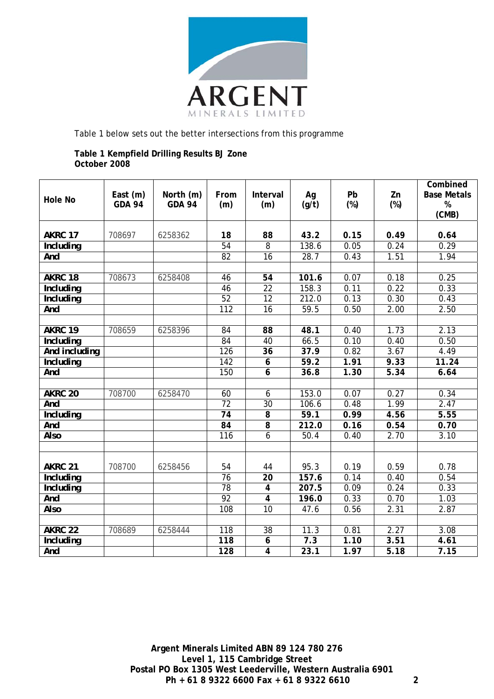

Table 1 below sets out the better intersections from this programme

# **Table 1 Kempfield Drilling Results BJ Zone October 2008**

| <b>Hole No</b>     | East (m)<br><b>GDA 94</b> | North (m)<br><b>GDA 94</b> | From<br>(m)      | Interval<br>(m)  | Ag<br>(g/t) | Pb<br>$(\%)$ | Zn<br>$(\%)$ | Combined<br><b>Base Metals</b><br>$\%$<br>(CMB) |
|--------------------|---------------------------|----------------------------|------------------|------------------|-------------|--------------|--------------|-------------------------------------------------|
| AKRC 17            | 708697                    | 6258362                    | 18               | 88               | 43.2        | 0.15         | 0.49         | 0.64                                            |
| <b>Including</b>   |                           |                            | 54               | $\overline{8}$   | 138.6       | 0.05         | 0.24         | 0.29                                            |
| And                |                           |                            | 82               | $\overline{16}$  | 28.7        | 0.43         | 1.51         | 1.94                                            |
|                    |                           |                            |                  |                  |             |              |              |                                                 |
| AKRC 18            | 708673                    | 6258408                    | 46               | $\overline{54}$  | 101.6       | 0.07         | 0.18         | 0.25                                            |
| <b>Including</b>   |                           |                            | 46               | $\overline{22}$  | 158.3       | 0.11         | 0.22         | 0.33                                            |
| <b>Including</b>   |                           |                            | 52               | $\overline{12}$  | 212.0       | 0.13         | 0.30         | 0.43                                            |
| And                |                           |                            | $\overline{112}$ | 16               | 59.5        | 0.50         | 2.00         | 2.50                                            |
|                    |                           |                            |                  |                  |             |              |              |                                                 |
| AKRC 19            | 708659                    | 6258396                    | $\overline{84}$  | $\overline{88}$  | 48.1        | 0.40         | 1.73         | 2.13                                            |
| <b>Including</b>   |                           |                            | 84               | 40               | 66.5        | 0.10         | 0.40         | 0.50                                            |
| And including      |                           |                            | 126              | 36               | 37.9        | 0.82         | 3.67         | 4.49                                            |
| <b>Including</b>   |                           |                            | $\overline{142}$ | $\boldsymbol{6}$ | 59.2        | 1.91         | 9.33         | 11.24                                           |
| And                |                           |                            | 150              | $\overline{6}$   | 36.8        | 1.30         | 5.34         | 6.64                                            |
|                    |                           |                            |                  |                  |             |              |              |                                                 |
| AKRC <sub>20</sub> | 708700                    | 6258470                    | 60               | 6                | 153.0       | 0.07         | 0.27         | 0.34                                            |
| And                |                           |                            | $\overline{72}$  | 30               | 106.6       | 0.48         | 1.99         | 2.47                                            |
| <b>Including</b>   |                           |                            | 74               | $\overline{8}$   | 59.1        | 0.99         | 4.56         | 5.55                                            |
| And                |                           |                            | $\overline{84}$  | 8                | 212.0       | 0.16         | 0.54         | 0.70                                            |
| <b>Also</b>        |                           |                            | 116              | 6                | 50.4        | 0.40         | 2.70         | 3.10                                            |
|                    |                           |                            |                  |                  |             |              |              |                                                 |
|                    |                           |                            |                  |                  |             |              |              |                                                 |
| AKRC 21            | 708700                    | 6258456                    | 54               | 44               | 95.3        | 0.19         | 0.59         | 0.78                                            |
| <b>Including</b>   |                           |                            | 76               | $\overline{20}$  | 157.6       | 0.14         | 0.40         | 0.54                                            |
| <b>Including</b>   |                           |                            | 78               | $\overline{4}$   | 207.5       | 0.09         | 0.24         | 0.33                                            |
| And                |                           |                            | 92               | $\overline{4}$   | 196.0       | 0.33         | 0.70         | 1.03                                            |
| <b>Also</b>        |                           |                            | 108              | $\overline{10}$  | 47.6        | 0.56         | 2.31         | 2.87                                            |
| AKRC <sub>22</sub> | 708689                    | 6258444                    | $\overline{118}$ | 38               | 11.3        | 0.81         | 2.27         | 3.08                                            |
|                    |                           |                            | 118              | 6                | 7.3         | 1.10         | 3.51         | 4.61                                            |
| <b>Including</b>   |                           |                            |                  |                  |             |              |              |                                                 |
| And                |                           |                            | 128              | $\overline{4}$   | 23.1        | 1.97         | 5.18         | 7.15                                            |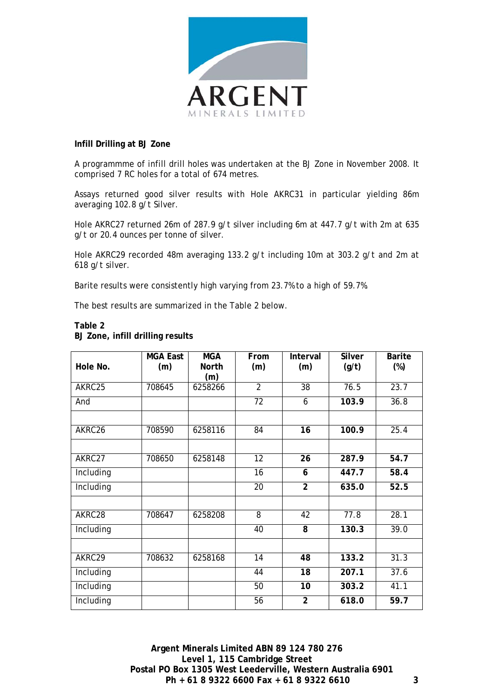

## **Infill Drilling at BJ Zone**

A programmme of infill drill holes was undertaken at the BJ Zone in November 2008. It comprised 7 RC holes for a total of 674 metres.

Assays returned good silver results with Hole AKRC31 in particular yielding 86m averaging 102.8 g/t Silver.

Hole AKRC27 returned 26m of 287.9 g/t silver including 6m at 447.7 g/t with 2m at 635 g/t or 20.4 ounces per tonne of silver.

Hole AKRC29 recorded 48m averaging 133.2 g/t including 10m at 303.2 g/t and 2m at 618 g/t silver.

Barite results were consistently high varying from 23.7% to a high of 59.7%.

The best results are summarized in the Table 2 below.

| Hole No.  | <b>MGA East</b><br>(m) | <b>MGA</b><br><b>North</b><br>(m) | From<br>(m)     | Interval<br>(m) | <b>Silver</b><br>(g/t) | <b>Barite</b><br>$(\%)$ |
|-----------|------------------------|-----------------------------------|-----------------|-----------------|------------------------|-------------------------|
| AKRC25    | 708645                 | 6258266                           | $\overline{2}$  | $\overline{38}$ | 76.5                   | 23.7                    |
| And       |                        |                                   | 72              | 6               | 103.9                  | 36.8                    |
|           |                        |                                   |                 |                 |                        |                         |
| AKRC26    | 708590                 | 6258116                           | $\overline{84}$ | $\overline{16}$ | 100.9                  | 25.4                    |
|           |                        |                                   |                 |                 |                        |                         |
| AKRC27    | 708650                 | 6258148                           | 12              | 26              | 287.9                  | 54.7                    |
| Including |                        |                                   | $\overline{16}$ | 6               | 447.7                  | 58.4                    |
| Including |                        |                                   | 20              | $\overline{2}$  | 635.0                  | 52.5                    |
|           |                        |                                   |                 |                 |                        |                         |
| AKRC28    | 708647                 | 6258208                           | 8               | 42              | 77.8                   | 28.1                    |
| Including |                        |                                   | 40              | 8               | 130.3                  | 39.0                    |
|           |                        |                                   |                 |                 |                        |                         |
| AKRC29    | 708632                 | 6258168                           | $\overline{14}$ | 48              | 133.2                  | 31.3                    |
| Including |                        |                                   | 44              | 18              | 207.1                  | 37.6                    |
| Including |                        |                                   | 50              | 10              | 303.2                  | 41.1                    |
| Including |                        |                                   | 56              | $\overline{2}$  | 618.0                  | 59.7                    |

## **Table 2 BJ Zone, infill drilling results**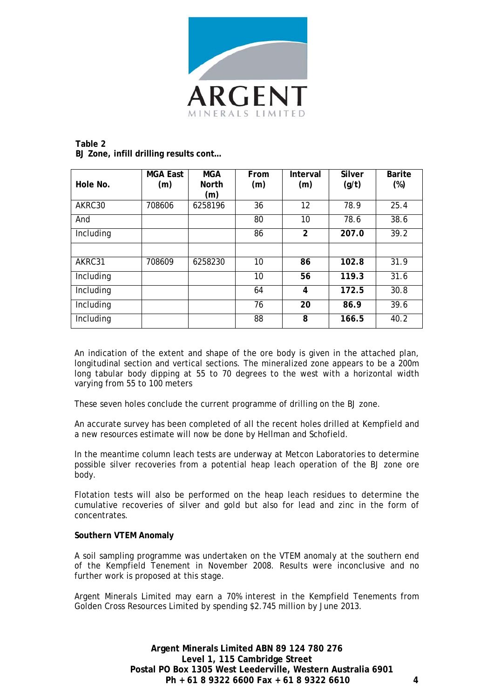

## **Table 2 BJ Zone, infill drilling results cont…**

|           | <b>MGA East</b> | <b>MGA</b>   | From | Interval       | Silver | <b>Barite</b> |
|-----------|-----------------|--------------|------|----------------|--------|---------------|
| Hole No.  | (m)             | <b>North</b> | (m)  | (m)            | (g/t)  | $(\%)$        |
|           |                 | (m)          |      |                |        |               |
| AKRC30    | 708606          | 6258196      | 36   | 12             | 78.9   | 25.4          |
| And       |                 |              | 80   | 10             | 78.6   | 38.6          |
| Including |                 |              | 86   | $\overline{2}$ | 207.0  | 39.2          |
|           |                 |              |      |                |        |               |
| AKRC31    | 708609          | 6258230      | 10   | 86             | 102.8  | 31.9          |
| Including |                 |              | 10   | 56             | 119.3  | 31.6          |
| Including |                 |              | 64   | 4              | 172.5  | 30.8          |
| Including |                 |              | 76   | 20             | 86.9   | 39.6          |
| Including |                 |              | 88   | 8              | 166.5  | 40.2          |

An indication of the extent and shape of the ore body is given in the attached plan, longitudinal section and vertical sections. The mineralized zone appears to be a 200m long tabular body dipping at 55 to 70 degrees to the west with a horizontal width varying from 55 to 100 meters

These seven holes conclude the current programme of drilling on the BJ zone.

An accurate survey has been completed of all the recent holes drilled at Kempfield and a new resources estimate will now be done by Hellman and Schofield.

In the meantime column leach tests are underway at Metcon Laboratories to determine possible silver recoveries from a potential heap leach operation of the BJ zone ore body.

Flotation tests will also be performed on the heap leach residues to determine the cumulative recoveries of silver and gold but also for lead and zinc in the form of concentrates.

# **Southern VTEM Anomaly**

A soil sampling programme was undertaken on the VTEM anomaly at the southern end of the Kempfield Tenement in November 2008. Results were inconclusive and no further work is proposed at this stage.

Argent Minerals Limited may earn a 70% interest in the Kempfield Tenements from Golden Cross Resources Limited by spending \$2.745 million by June 2013.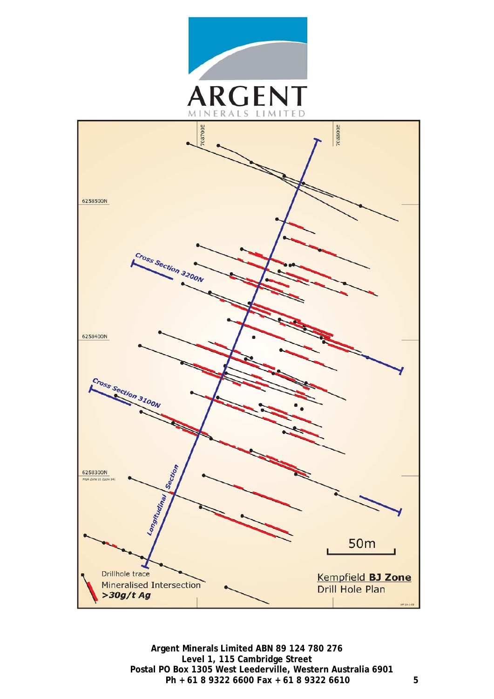

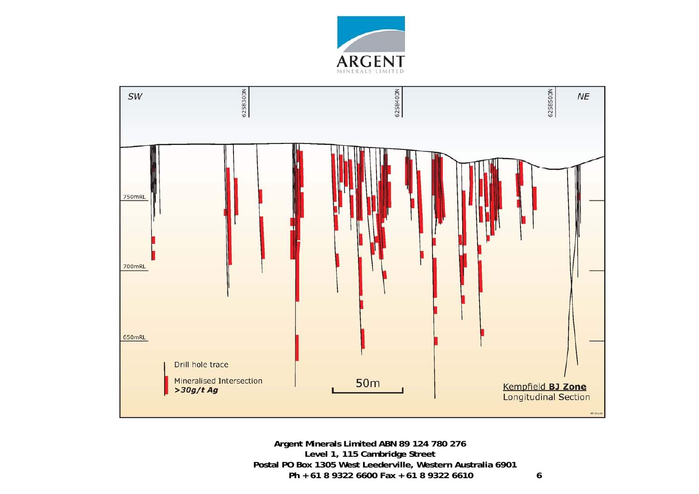

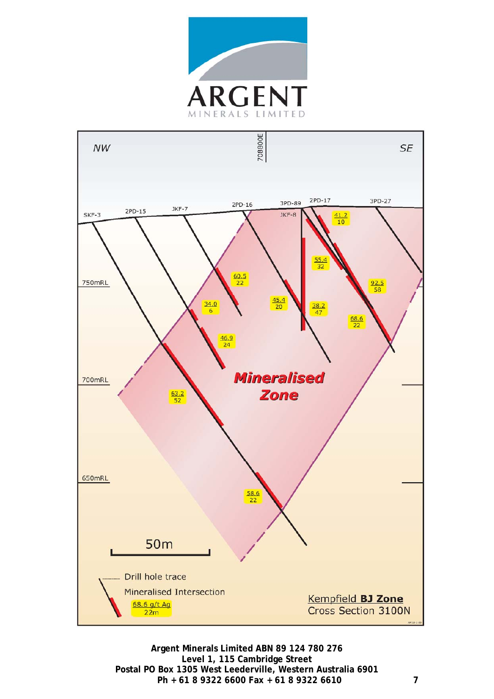

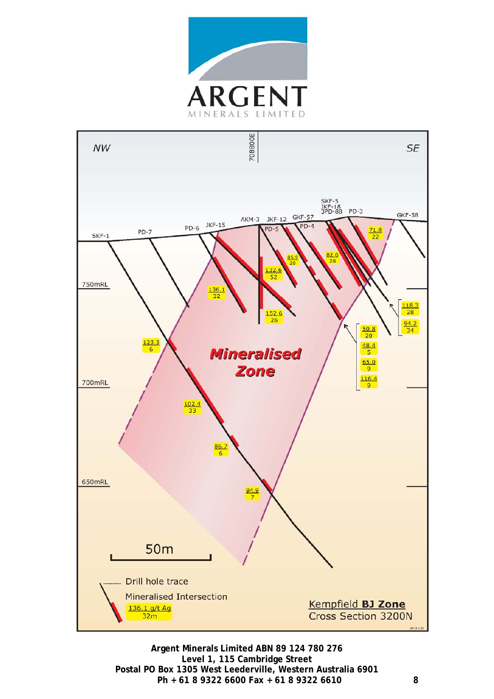

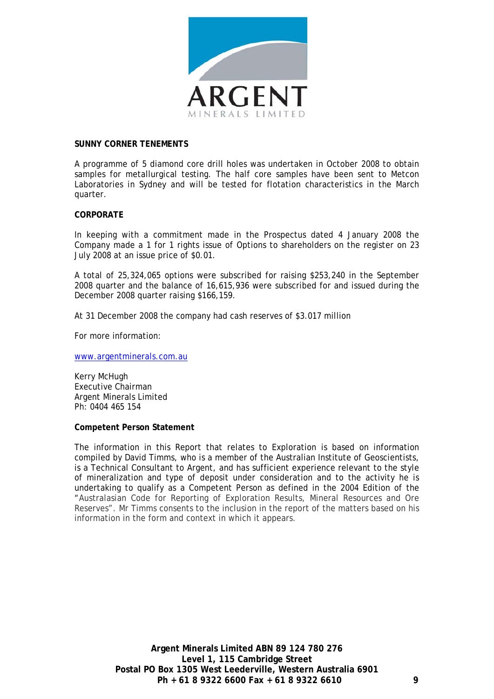

#### **SUNNY CORNER TENEMENTS**

A programme of 5 diamond core drill holes was undertaken in October 2008 to obtain samples for metallurgical testing. The half core samples have been sent to Metcon Laboratories in Sydney and will be tested for flotation characteristics in the March quarter.

#### **CORPORATE**

In keeping with a commitment made in the Prospectus dated 4 January 2008 the Company made a 1 for 1 rights issue of Options to shareholders on the register on 23 July 2008 at an issue price of \$0.01.

A total of 25,324,065 options were subscribed for raising \$253,240 in the September 2008 quarter and the balance of 16,615,936 were subscribed for and issued during the December 2008 quarter raising \$166,159.

At 31 December 2008 the company had cash reserves of \$3.017 million

For more information:

[www.argentminerals.com.au](http://www.argentminerals.com.au/)

Kerry McHugh Executive Chairman Argent Minerals Limited Ph: 0404 465 154

#### **Competent Person Statement**

The information in this Report that relates to Exploration is based on information compiled by David Timms, who is a member of the Australian Institute of Geoscientists, is a Technical Consultant to Argent, and has sufficient experience relevant to the style of mineralization and type of deposit under consideration and to the activity he is undertaking to qualify as a Competent Person as defined in the 2004 Edition of the "Australasian Code for Reporting of Exploration Results, Mineral Resources and Ore Reserves". Mr Timms consents to the inclusion in the report of the matters based on his information in the form and context in which it appears.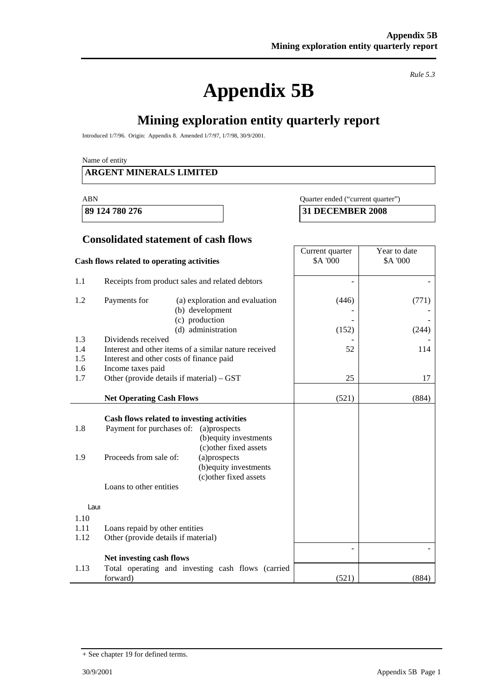# **Appendix 5B**

*Rule 5.3* 

┑

# **Mining exploration entity quarterly report**

Introduced 1/7/96. Origin: Appendix 8. Amended 1/7/97, 1/7/98, 30/9/2001.

Name of entity

# **ARGENT MINERALS LIMITED**

#### ABN Quarter ended ("current quarter")

**89 124 780 276 31 DECEMBER 2008** 

# **Consolidated statement of cash flows**

|                      | Cash flows related to operating activities                                                                                                                                                                                                                           | Current quarter<br><b>\$A '000</b> | Year to date<br>\$A '000 |
|----------------------|----------------------------------------------------------------------------------------------------------------------------------------------------------------------------------------------------------------------------------------------------------------------|------------------------------------|--------------------------|
| 1.1                  | Receipts from product sales and related debtors                                                                                                                                                                                                                      |                                    |                          |
| 1.2                  | Payments for<br>(a) exploration and evaluation<br>(b) development<br>(c) production<br>(d) administration                                                                                                                                                            | (446)<br>(152)                     | (771)<br>(244)           |
| 1.3                  | Dividends received                                                                                                                                                                                                                                                   |                                    |                          |
| 1.4<br>1.5<br>1.6    | Interest and other items of a similar nature received<br>Interest and other costs of finance paid<br>Income taxes paid                                                                                                                                               | 52                                 | 114                      |
| 1.7                  | Other (provide details if material) – GST                                                                                                                                                                                                                            | 25                                 | 17                       |
|                      | <b>Net Operating Cash Flows</b>                                                                                                                                                                                                                                      | (521)                              | (884)                    |
| 1.8<br>1.9           | Cash flows related to investing activities<br>Payment for purchases of:<br>(a)prospects<br>(b) equity investments<br>(c) other fixed assets<br>Proceeds from sale of:<br>(a)prospects<br>(b) equity investments<br>(c) other fixed assets<br>Loans to other entities |                                    |                          |
| Laur                 |                                                                                                                                                                                                                                                                      |                                    |                          |
| 1.10<br>1.11<br>1.12 | Loans repaid by other entities<br>Other (provide details if material)                                                                                                                                                                                                |                                    |                          |
|                      | Net investing cash flows                                                                                                                                                                                                                                             |                                    |                          |
| 1.13                 | Total operating and investing cash flows (carried<br>forward)                                                                                                                                                                                                        | (521)                              | (884)                    |

<sup>+</sup> See chapter 19 for defined terms.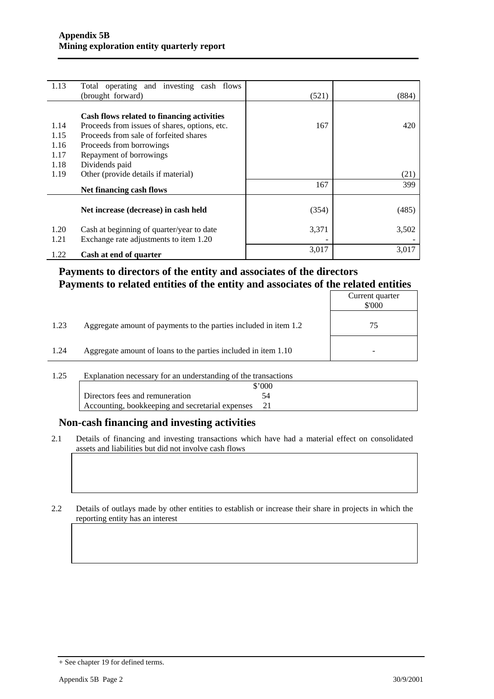| 1.13 | Total operating and investing cash flows      |       |       |
|------|-----------------------------------------------|-------|-------|
|      | (brought forward)                             | (521) | (884) |
|      |                                               |       |       |
|      | Cash flows related to financing activities    |       |       |
| 1.14 | Proceeds from issues of shares, options, etc. | 167   | 420   |
| 1.15 | Proceeds from sale of forfeited shares        |       |       |
| 1.16 | Proceeds from borrowings                      |       |       |
| 1.17 | Repayment of borrowings                       |       |       |
| 1.18 | Dividends paid                                |       |       |
| 1.19 | Other (provide details if material)           |       | (21)  |
|      | Net financing cash flows                      | 167   | 399   |
|      |                                               |       |       |
|      | Net increase (decrease) in cash held          | (354) | (485) |
|      |                                               |       |       |
| 1.20 | Cash at beginning of quarter/year to date     | 3,371 | 3,502 |
| 1.21 | Exchange rate adjustments to item 1.20        |       |       |
| 1.22 | Cash at end of quarter                        | 3,017 | 3,017 |

# **Payments to directors of the entity and associates of the directors Payments to related entities of the entity and associates of the related entities**

|      |                                                                  | Current quarter<br>\$'000 |
|------|------------------------------------------------------------------|---------------------------|
| 1.23 | Aggregate amount of payments to the parties included in item 1.2 | 75                        |
| 1.24 | Aggregate amount of loans to the parties included in item 1.10   |                           |

1.25 Explanation necessary for an understanding of the transactions

|                                                     | $\sim 000$ |
|-----------------------------------------------------|------------|
| Directors fees and remuneration                     |            |
| Accounting, bookkeeping and secretarial expenses 21 |            |

# **Non-cash financing and investing activities**

2.1 Details of financing and investing transactions which have had a material effect on consolidated assets and liabilities but did not involve cash flows

2.2 Details of outlays made by other entities to establish or increase their share in projects in which the reporting entity has an interest

<sup>+</sup> See chapter 19 for defined terms.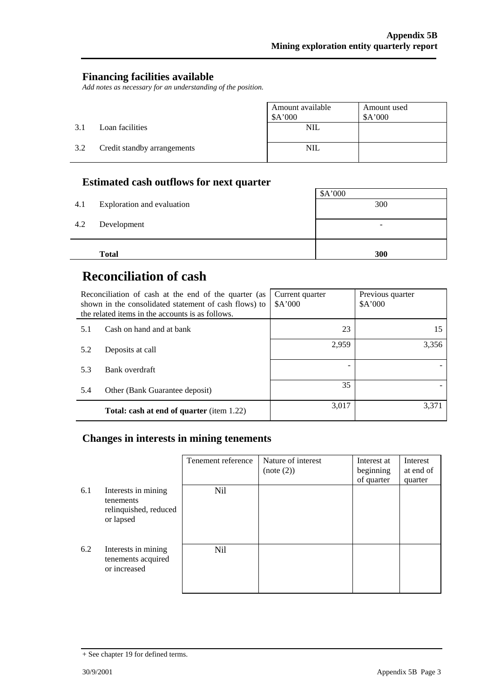# **Financing facilities available**

*Add notes as necessary for an understanding of the position.* 

|     |                             | Amount available<br>\$A'000 | Amount used<br>A'000 |
|-----|-----------------------------|-----------------------------|----------------------|
| 3.1 | Loan facilities             | <b>NIL</b>                  |                      |
| 3.2 | Credit standby arrangements | <b>NIL</b>                  |                      |

# **Estimated cash outflows for next quarter**

| 4.1 | Exploration and evaluation | \$A'000<br>300 |  |
|-----|----------------------------|----------------|--|
| 4.2 | Development                | -              |  |
|     | <b>Total</b>               | 300            |  |

# **Reconciliation of cash**

|     | Reconciliation of cash at the end of the quarter (as<br>shown in the consolidated statement of cash flows) to<br>the related items in the accounts is as follows. | Current quarter<br>A'000 | Previous quarter<br>A'000 |
|-----|-------------------------------------------------------------------------------------------------------------------------------------------------------------------|--------------------------|---------------------------|
| 5.1 | Cash on hand and at bank                                                                                                                                          | 23                       | 15                        |
| 5.2 | Deposits at call                                                                                                                                                  | 2,959                    | 3,356                     |
| 5.3 | Bank overdraft                                                                                                                                                    |                          |                           |
| 5.4 | Other (Bank Guarantee deposit)                                                                                                                                    | 35                       |                           |
|     | <b>Total: cash at end of quarter</b> (item 1.22)                                                                                                                  | 3,017                    | 3.371                     |

# **Changes in interests in mining tenements**

|     |                                                                        | Tenement reference | Nature of interest<br>(note (2)) | Interest at<br>beginning<br>of quarter | Interest<br>at end of<br>quarter |
|-----|------------------------------------------------------------------------|--------------------|----------------------------------|----------------------------------------|----------------------------------|
| 6.1 | Interests in mining<br>tenements<br>relinquished, reduced<br>or lapsed | Nil                |                                  |                                        |                                  |
| 6.2 | Interests in mining<br>tenements acquired<br>or increased              | Nil                |                                  |                                        |                                  |

<sup>+</sup> See chapter 19 for defined terms.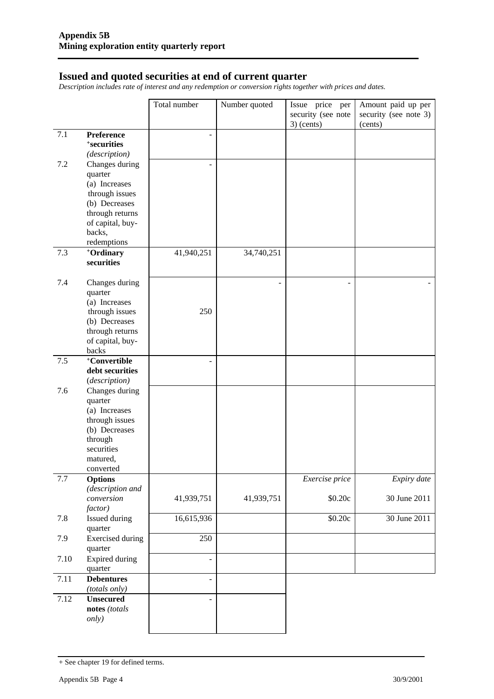# **Issued and quoted securities at end of current quarter**

*Description includes rate of interest and any redemption or conversion rights together with prices and dates.* 

|         |                                  | Total number   | Number quoted | Issue price per    | Amount paid up per    |
|---------|----------------------------------|----------------|---------------|--------------------|-----------------------|
|         |                                  |                |               | security (see note | security (see note 3) |
|         |                                  |                |               | $3)$ (cents)       | (cents)               |
| 7.1     | Preference                       |                |               |                    |                       |
|         | <sup>+</sup> securities          |                |               |                    |                       |
|         | (description)                    |                |               |                    |                       |
| 7.2     | Changes during                   |                |               |                    |                       |
|         | quarter                          |                |               |                    |                       |
|         | (a) Increases                    |                |               |                    |                       |
|         | through issues                   |                |               |                    |                       |
|         | (b) Decreases<br>through returns |                |               |                    |                       |
|         | of capital, buy-                 |                |               |                    |                       |
|         | backs,                           |                |               |                    |                       |
|         | redemptions                      |                |               |                    |                       |
| 7.3     | +Ordinary                        | 41,940,251     | 34,740,251    |                    |                       |
|         | securities                       |                |               |                    |                       |
|         |                                  |                |               |                    |                       |
| 7.4     | Changes during                   |                | ÷.            |                    |                       |
|         | quarter                          |                |               |                    |                       |
|         | (a) Increases                    |                |               |                    |                       |
|         | through issues                   | 250            |               |                    |                       |
|         | (b) Decreases                    |                |               |                    |                       |
|         | through returns                  |                |               |                    |                       |
|         | of capital, buy-                 |                |               |                    |                       |
|         | backs<br>+Convertible            |                |               |                    |                       |
| $7.5$   | debt securities                  |                |               |                    |                       |
|         | (description)                    |                |               |                    |                       |
| 7.6     | Changes during                   |                |               |                    |                       |
|         | quarter                          |                |               |                    |                       |
|         | (a) Increases                    |                |               |                    |                       |
|         | through issues                   |                |               |                    |                       |
|         | (b) Decreases                    |                |               |                    |                       |
|         | through                          |                |               |                    |                       |
|         | securities                       |                |               |                    |                       |
|         | matured,                         |                |               |                    |                       |
|         | converted                        |                |               |                    |                       |
| $7.7\,$ | <b>Options</b>                   |                |               | Exercise price     | Expiry date           |
|         | (description and<br>conversion   | 41,939,751     |               |                    |                       |
|         | factor)                          |                | 41,939,751    | \$0.20c            | 30 June 2011          |
| 7.8     | Issued during                    | 16,615,936     |               | \$0.20c            | 30 June 2011          |
|         | quarter                          |                |               |                    |                       |
| 7.9     | <b>Exercised</b> during          | 250            |               |                    |                       |
|         | quarter                          |                |               |                    |                       |
| 7.10    | <b>Expired during</b>            | ÷,             |               |                    |                       |
|         | quarter                          |                |               |                    |                       |
| 7.11    | <b>Debentures</b>                | $\overline{a}$ |               |                    |                       |
|         | (totals only)                    |                |               |                    |                       |
| 7.12    | <b>Unsecured</b>                 |                |               |                    |                       |
|         | notes (totals                    |                |               |                    |                       |
|         | <i>only</i> )                    |                |               |                    |                       |
|         |                                  |                |               |                    |                       |

<sup>+</sup> See chapter 19 for defined terms.